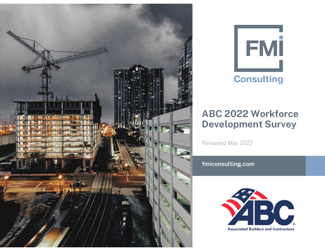



# ABC 2022 Workforce Development Survey

*Released May 2022*

**fmiconsulting.com**

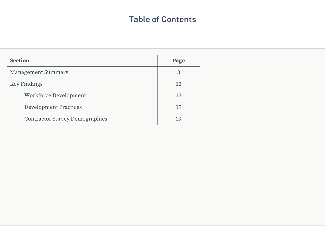## **Table of Contents**

| <b>Section</b>                        | Page |
|---------------------------------------|------|
| <b>Management Summary</b>             | 3    |
| <b>Key Findings</b>                   | 12   |
| Workforce Development                 | 13   |
| <b>Development Practices</b>          | 19   |
| <b>Contractor Survey Demographics</b> | 29   |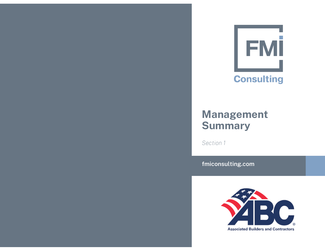

# Management **Summary**

*Section 1*

**fmiconsulting.com**

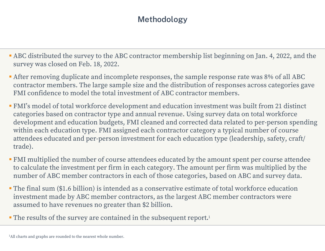# Methodology

- ABC distributed the survey to the ABC contractor membership list beginning on Jan. 4, 2022, and the survey was closed on Feb. 18, 2022.
- After removing duplicate and incomplete responses, the sample response rate was 8% of all ABC contractor members. The large sample size and the distribution of responses across categories gave FMI confidence to model the total investment of ABC contractor members.
- FMI's model of total workforce development and education investment was built from 21 distinct categories based on contractor type and annual revenue. Using survey data on total workforce development and education budgets, FMI cleaned and corrected data related to per-person spending within each education type. FMI assigned each contractor category a typical number of course attendees educated and per-person investment for each education type (leadership, safety, craft/ trade).
- FMI multiplied the number of course attendees educated by the amount spent per course attendee to calculate the investment per firm in each category. The amount per firm was multiplied by the number of ABC member contractors in each of those categories, based on ABC and survey data.
- The final sum (\$1.6 billion) is intended as a conservative estimate of total workforce education investment made by ABC member contractors, as the largest ABC member contractors were assumed to have revenues no greater than \$2 billion.
- The results of the survey are contained in the subsequent report.<sup>1</sup>

<sup>&</sup>lt;sup>1</sup>All charts and graphs are rounded to the nearest whole number.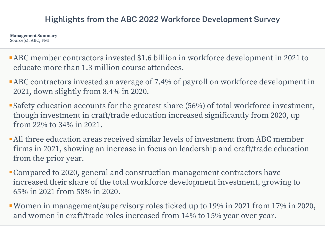## **Highlights from the ABC 2022 Workforce Development Survey**

**Management Summary** Source(s): ABC, FMI

- **-ABC** member contractors invested \$1.6 billion in workforce development in 2021 to educate more than 1.3 million course attendees.
- **-ABC** contractors invested an average of 7.4% of payroll on workforce development in 2021, down slightly from 8.4% in 2020.
- Safety education accounts for the greatest share (56%) of total workforce investment, though investment in craft/trade education increased significantly from 2020, up from 22% to 34% in 2021.
- All three education areas received similar levels of investment from ABC member firms in 2021, showing an increase in focus on leadership and craft/trade education from the prior year.
- Compared to 2020, general and construction management contractors have increased their share of the total workforce development investment, growing to 65% in 2021 from 58% in 2020.
- **Women in management/supervisory roles ticked up to 19% in 2021 from 17% in 2020,** and women in craft/trade roles increased from 14% to 15% year over year.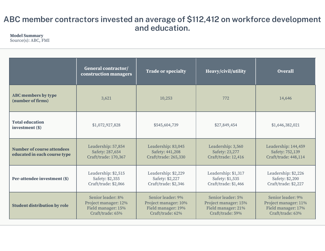## **ABC member contractors invested an average of \$112,412 on workforce development and education.**

#### **Model Summary**

|                                                                   | <b>General contractor/</b><br>construction managers                                 | <b>Trade or specialty</b>                                                           | Heavy/civil/utility                                                                 | <b>Overall</b>                                                                      |
|-------------------------------------------------------------------|-------------------------------------------------------------------------------------|-------------------------------------------------------------------------------------|-------------------------------------------------------------------------------------|-------------------------------------------------------------------------------------|
| <b>ABC</b> members by type<br>(number of firms)                   | 3,621                                                                               | 10,253                                                                              | 772                                                                                 | 14,646                                                                              |
| <b>Total education</b><br>investment (\$)                         | \$1,072,927,828                                                                     | \$545,604,739                                                                       | \$27,849,454                                                                        | \$1,646,382,021                                                                     |
| <b>Number of course attendees</b><br>educated in each course type | Leadership: 57,854<br>Safety: 287,654<br>Craft/trade: 170,367                       | Leadership: 83,045<br>Safety: 441,208<br>Craft/trade: 265,330                       | Leadership: 3,560<br>Safety: 23,277<br>Craft/trade: 12,416                          | Leadership: 144,459<br>Safety: 752,139<br>Craft/trade: 448,114                      |
| Per-attendee investment (\$)                                      | Leadership: \$2,515<br>Safety: \$2,355<br>Craft/trade: \$2,066                      | Leadership: \$2,229<br>Safety: \$2,227<br>Craft/trade: \$2,346                      | Leadership: \$1,317<br>Safety: \$1,535<br>Craft/trade: \$1,466                      | Leadership: \$2,226<br>Safety: \$2,200<br>Craft/trade: \$2,227                      |
| <b>Student distribution by role</b>                               | Senior leader: 8%<br>Project manager: 12%<br>Field manager: 15%<br>Craft/trade: 65% | Senior leader: 9%<br>Project manager: 10%<br>Field manager: 19%<br>Craft/trade: 62% | Senior leader: 5%<br>Project manager: 15%<br>Field manager: 21%<br>Craft/trade: 59% | Senior leader: 9%<br>Project manager: 11%<br>Field manager: 17%<br>Craft/trade: 63% |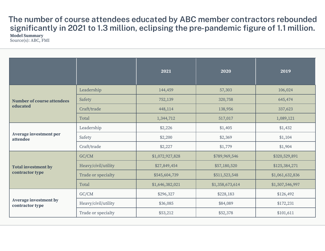**The number of course attendees educated by ABC member contractors rebounded significantly in 2021 to 1.3 million, eclipsing the pre-pandemic figure of 1.1 million.**

**Model Summary** Source(s): ABC, FMI

|                                                 |                     | 2021            | 2020            | 2019            |
|-------------------------------------------------|---------------------|-----------------|-----------------|-----------------|
| <b>Number of course attendees</b><br>educated   | Leadership          | 144,459         | 57,303          | 106,024         |
|                                                 | Safety              | 752,139         | 320,758         | 645,474         |
|                                                 | Craft/trade         | 448,114         | 138,956         | 337,623         |
|                                                 | Total               | 1,344,712       | 517,017         | 1,089,121       |
| <b>Average investment per</b><br>attendee       | Leadership          | \$2,226         | \$1,405         | \$1,432         |
|                                                 | Safety              | \$2,200         | \$2,369         | \$1,104         |
|                                                 | Craft/trade         | \$2,227         | \$1,779         | \$1,904         |
| <b>Total investment by</b><br>contractor type   | GC/CM               | \$1,072,927,828 | \$789,969,546   | \$320,529,891   |
|                                                 | Heavy/civil/utility | \$27,849,454    | \$57,180,520    | \$125,384,271   |
|                                                 | Trade or specialty  | \$545,604,739   | \$511,523,548   | \$1,061,632,836 |
|                                                 | Total               | \$1,646,382,021 | \$1,358,673,614 | \$1,507,546,997 |
| <b>Average investment by</b><br>contractor type | GC/CM               | \$296,327       | \$228,183       | \$126,492       |
|                                                 | Heavy/civil/utility | \$36,085        | \$84,089        | \$172,231       |
|                                                 | Trade or specialty  | \$53,212        | \$52,378        | \$101,611       |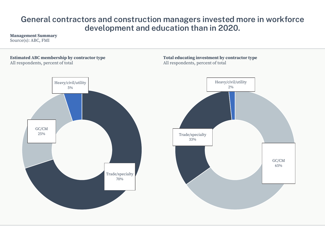#### General contractors and construction managers invested more in workforce development and education than in 2020.

#### **Management Summary**

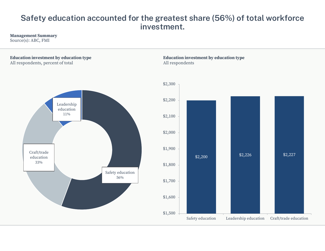## Safety education accounted for the greatest share (56%) of total workforce investment.

#### **Management Summary**

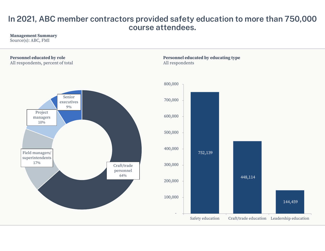#### In 2021, ABC member contractors provided safety education to more than 750,000 course attendees.

#### **Management Summary**

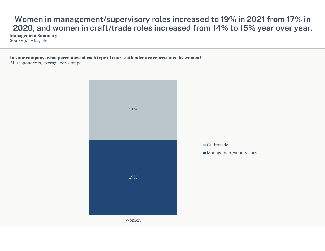## Women in management/supervisory roles increased to 19% in 2021 from 17% in 2020, and women in craft/trade roles increased from 14% to 15% year over year.

**Management Summary** Source(s): ABC, FMI

In your company, what percentage of each type of course attendee are represented by women? All respondents, average percentage

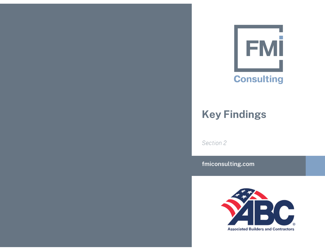

# Key Findings

*Section 2*

**fmiconsulting.com**

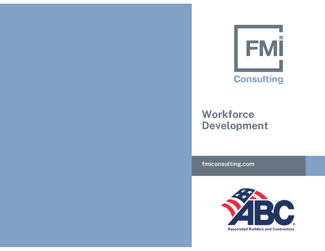

# **Workforce** Development

**fmiconsulting.com**

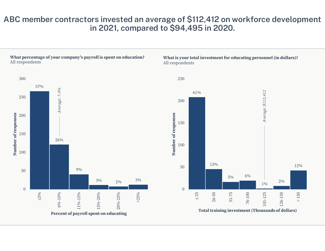#### ABC member contractors invested an average of \$112,412 on workforce development in 2021, compared to \$94,495 in 2020.

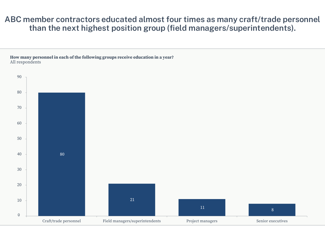#### ABC member contractors educated almost four times as many craft/trade personnel than the next highest position group (field managers/superintendents).

How many personnel in each of the following groups receive education in a year? All respondents

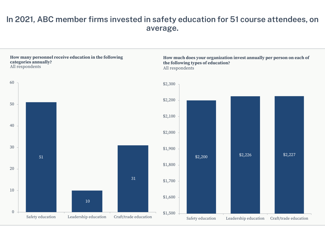#### **In 2021, ABC member firms invested in safety education for 51 course attendees, on average.**

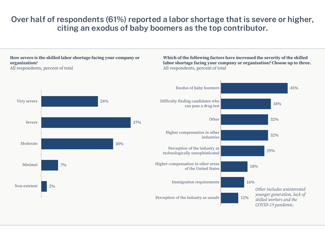## Over half of respondents (61%) reported a labor shortage that is severe or higher, citing an exodus of baby boomers as the top contributor.

#### How severe is the skilled labor shortage facing your company or organization?

All respondents, percent of total

Which of the following factors have increased the severity of the skilled labor shortage facing your company or organization? Choose up to three. All respondents, percent of total

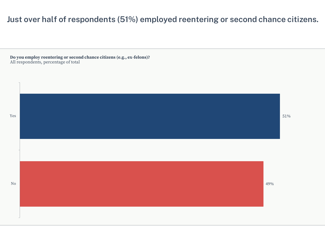## Just over half of respondents (51%) employed reentering or second chance citizens.

Do you employ reentering or second chance citizens (e.g., ex-felons)?<br>All respondents, percentage of total

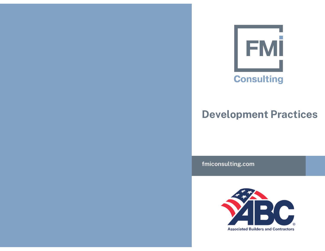

# Development Practices

**fmiconsulting.com**

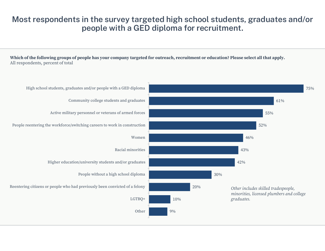## Most respondents in the survey targeted high school students, graduates and/or people with a GED diploma for recruitment.

Which of the following groups of people has your company targeted for outreach, recruitment or education? Please select all that apply. All respondents, percent of total

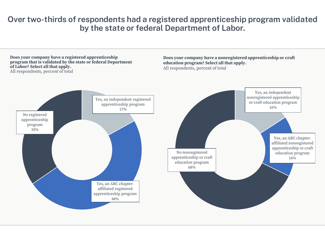#### Over two-thirds of respondents had a registered apprenticeship program validated by the state or federal Department of Labor.

Does your company have a registered apprenticeship program that is validated by the state or federal Department of Labor? Select all that apply. All respondents, percent of total

Does your company have a nonregistered apprenticeship or craft education program? Select all that apply. All respondents, percent of total

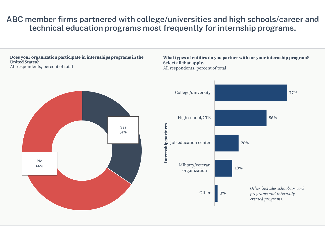## ABC member firms partnered with college/universities and high schools/career and technical education programs most frequently for internship programs.

Does your organization participate in internships programs in the **United States?** All respondents, percent of total

#### What types of entities do you partner with for your internship program? Select all that apply. All respondents, percent of total

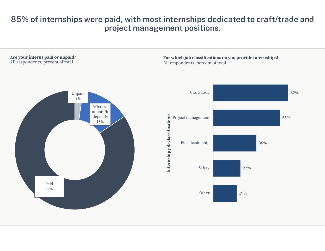## 85% of internships were paid, with most internships dedicated to craft/trade and project management positions.

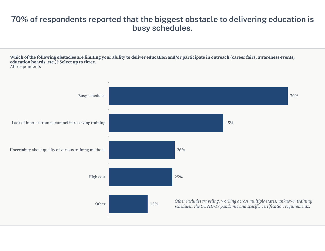## 70% of respondents reported that the biggest obstacle to delivering education is busy schedules.

Which of the following obstacles are limiting your ability to deliver education and/or participate in outreach (career fairs, awareness events, education boards, etc.)? Select up to three. All respondents

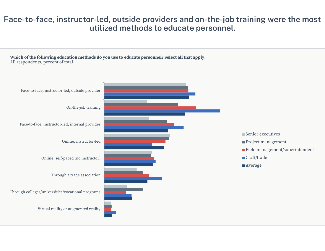#### Face-to-face, instructor-led, outside providers and on-the-job training were the most utilized methods to educate personnel.

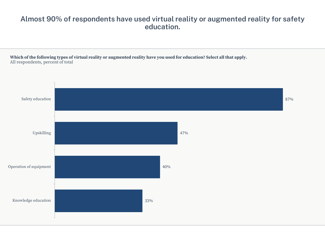#### Almost 90% of respondents have used virtual reality or augmented reality for safety education.

Which of the following types of virtual reality or augmented reality have you used for education? Select all that apply. All respondents, percent of total

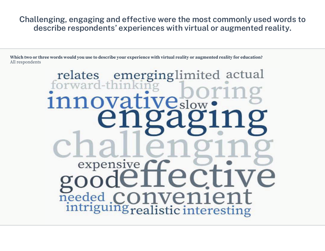Challenging, engaging and effective were the most commonly used words to describe respondents' experiences with virtual or augmented reality.

Which two or three words would you use to describe your experience with virtual reality or augmented reality for education? All respondents

# relates emerging limited actual expensive needed intriguing realistic interesting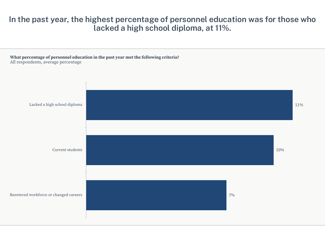#### In the past year, the highest percentage of personnel education was for those who lacked a high school diploma, at 11%.



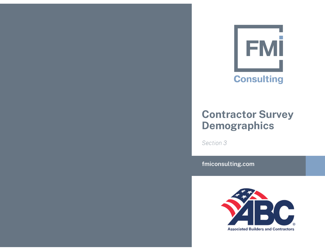

# Contractor Survey Demographics

*Section 3*

**fmiconsulting.com**

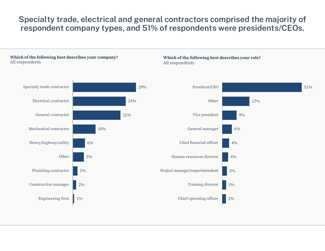## Specialty trade, electrical and general contractors comprised the majority of respondent company types, and 51% of respondents were presidents/CEOs.

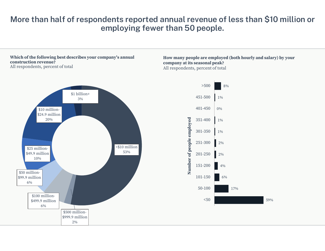## More than half of respondents reported annual revenue of less than \$10 million or employing fewer than 50 people.

#### Which of the following best describes your company's annual construction revenue?

All respondents, percent of total

#### How many people are employed (both hourly and salary) by your company at its seasonal peak? All respondents, percent of total



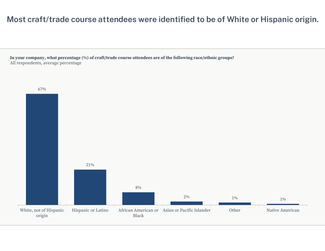## Most craft/trade course attendees were identified to be of White or Hispanic origin.

In your company, what percentage (%) of craft/trade course attendees are of the following race/ethnic groups? All respondents, average percentage

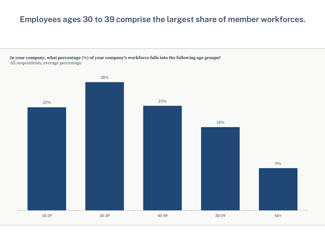## Employees ages 30 to 39 comprise the largest share of member workforces.